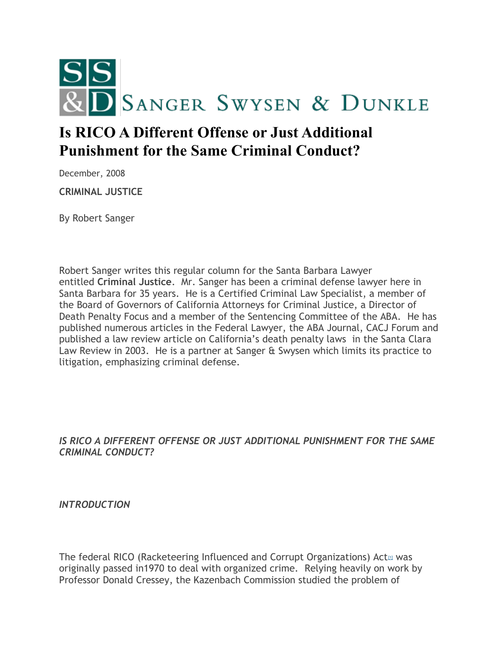

# **Is RICO A Different Offense or Just Additional Punishment for the Same Criminal Conduct?**

December, 2008

**CRIMINAL JUSTICE**

By Robert Sanger

Robert Sanger writes this regular column for the Santa Barbara Lawyer entitled **Criminal Justice**. Mr. Sanger has been a criminal defense lawyer here in Santa Barbara for 35 years. He is a Certified Criminal Law Specialist, a member of the Board of Governors of California Attorneys for Criminal Justice, a Director of Death Penalty Focus and a member of the Sentencing Committee of the ABA. He has published numerous articles in the Federal Lawyer, the ABA Journal, CACJ Forum and published a law review article on California's death penalty laws in the Santa Clara Law Review in 2003. He is a partner at Sanger & Swysen which limits its practice to litigation, emphasizing criminal defense.

#### *IS RICO A DIFFERENT OFFENSE OR JUST ADDITIONAL PUNISHMENT FOR THE SAME CRIMINAL CONDUCT?*

*INTRODUCTION*

The federal RICO (Racke[t](#page-4-0)eering Influenced and Corrupt Organizations) Act $\omega$  was originally passed in1970 to deal with organized crime. Relying heavily on work by Professor Donald Cressey, the Kazenbach Commission studied the problem of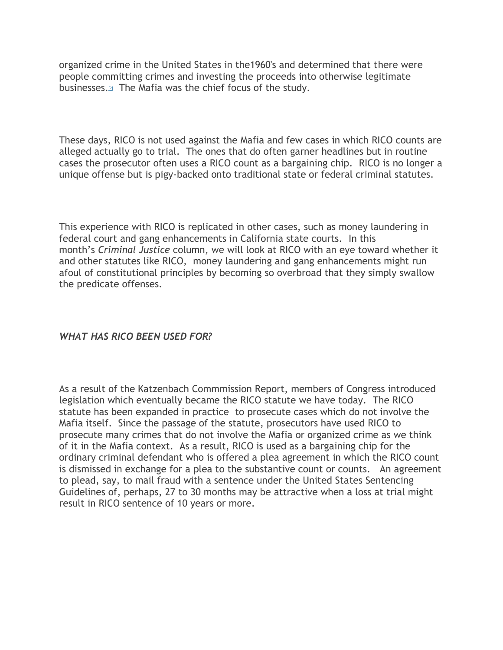organized crime in the United States in the1960's and determined that there were people committing crimes and investing the proceeds into otherwise legitimate businesses[.](#page-4-1)[2] The Mafia was the chief focus of the study.

These days, RICO is not used against the Mafia and few cases in which RICO counts are alleged actually go to trial. The ones that do often garner headlines but in routine cases the prosecutor often uses a RICO count as a bargaining chip. RICO is no longer a unique offense but is pigy-backed onto traditional state or federal criminal statutes.

This experience with RICO is replicated in other cases, such as money laundering in federal court and gang enhancements in California state courts. In this month's *Criminal Justice* column, we will look at RICO with an eye toward whether it and other statutes like RICO, money laundering and gang enhancements might run afoul of constitutional principles by becoming so overbroad that they simply swallow the predicate offenses.

#### *WHAT HAS RICO BEEN USED FOR?*

As a result of the Katzenbach Commmission Report, members of Congress introduced legislation which eventually became the RICO statute we have today. The RICO statute has been expanded in practice to prosecute cases which do not involve the Mafia itself. Since the passage of the statute, prosecutors have used RICO to prosecute many crimes that do not involve the Mafia or organized crime as we think of it in the Mafia context. As a result, RICO is used as a bargaining chip for the ordinary criminal defendant who is offered a plea agreement in which the RICO count is dismissed in exchange for a plea to the substantive count or counts. An agreement to plead, say, to mail fraud with a sentence under the United States Sentencing Guidelines of, perhaps, 27 to 30 months may be attractive when a loss at trial might result in RICO sentence of 10 years or more.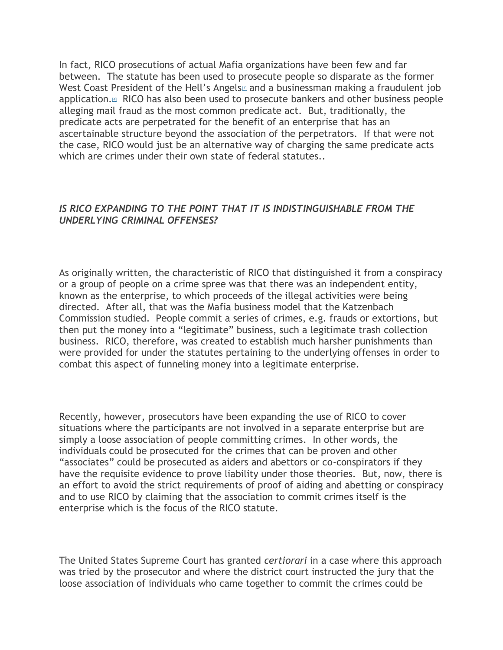In fact, RICO prosecutions of actual Mafia organizations have been few and far between. The statute has been used to prosecute people so disparate as the former We[s](#page-5-0)t Coast President of the Hell's Angels<sup>33</sup> and a businessman making a fraudulent job application[.](#page-5-1)<sup>[4]</sup> RICO has also been used to prosecute bankers and other business people alleging mail fraud as the most common predicate act. But, traditionally, the predicate acts are perpetrated for the benefit of an enterprise that has an ascertainable structure beyond the association of the perpetrators. If that were not the case, RICO would just be an alternative way of charging the same predicate acts which are crimes under their own state of federal statutes..

#### *IS RICO EXPANDING TO THE POINT THAT IT IS INDISTINGUISHABLE FROM THE UNDERLYING CRIMINAL OFFENSES?*

As originally written, the characteristic of RICO that distinguished it from a conspiracy or a group of people on a crime spree was that there was an independent entity, known as the enterprise, to which proceeds of the illegal activities were being directed. After all, that was the Mafia business model that the Katzenbach Commission studied. People commit a series of crimes, e.g. frauds or extortions, but then put the money into a "legitimate" business, such a legitimate trash collection business. RICO, therefore, was created to establish much harsher punishments than were provided for under the statutes pertaining to the underlying offenses in order to combat this aspect of funneling money into a legitimate enterprise.

Recently, however, prosecutors have been expanding the use of RICO to cover situations where the participants are not involved in a separate enterprise but are simply a loose association of people committing crimes. In other words, the individuals could be prosecuted for the crimes that can be proven and other "associates" could be prosecuted as aiders and abettors or co-conspirators if they have the requisite evidence to prove liability under those theories. But, now, there is an effort to avoid the strict requirements of proof of aiding and abetting or conspiracy and to use RICO by claiming that the association to commit crimes itself is the enterprise which is the focus of the RICO statute.

The United States Supreme Court has granted *certiorari* in a case where this approach was tried by the prosecutor and where the district court instructed the jury that the loose association of individuals who came together to commit the crimes could be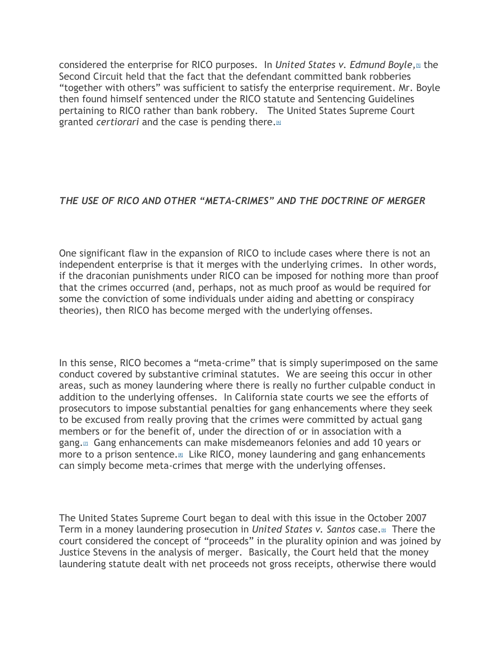considered the enterprise for RICO purposes. In *United States v. Edmund Boyle[,](#page-5-2)*[5] the Second Circuit held that the fact that the defendant committed bank robberies "together with others" was sufficient to satisfy the enterprise requirement. Mr. Boyle then found himself sentenced under the RICO statute and Sentencing Guidelines pertaining to RICO rather than bank robbery. The United States Supreme Court granted *certiorari* and the case is pending there[.](#page-5-3)[6]

### *THE USE OF RICO AND OTHER "META-CRIMES" AND THE DOCTRINE OF MERGER*

One significant flaw in the expansion of RICO to include cases where there is not an independent enterprise is that it merges with the underlying crimes. In other words, if the draconian punishments under RICO can be imposed for nothing more than proof that the crimes occurred (and, perhaps, not as much proof as would be required for some the conviction of some individuals under aiding and abetting or conspiracy theories), then RICO has become merged with the underlying offenses.

In this sense, RICO becomes a "meta-crime" that is simply superimposed on the same conduct covered by substantive criminal statutes. We are seeing this occur in other areas, such as money laundering where there is really no further culpable conduct in addition to the underlying offenses. In California state courts we see the efforts of prosecutors to impose substantial penalties for gang enhancements where they seek to be excused from really proving that the crimes were committed by actual gang members or for the benefit of, under the direction of or in association with a gang[.](#page-5-4)[7] Gang enhancements can make misdemeanors felonies and add 10 years or more to a prison sentence.<sup>[\[8\]](#page-5-5)</sup> Like RICO, money laundering and gang enhancements can simply become meta-crimes that merge with the underlying offenses.

The United States Supreme Court began to deal with this issue in the October 2007 Term in a money laundering prosecution in *United States v. Santos* case[.](#page-5-6)[9] There the court considered the concept of "proceeds" in the plurality opinion and was joined by Justice Stevens in the analysis of merger. Basically, the Court held that the money laundering statute dealt with net proceeds not gross receipts, otherwise there would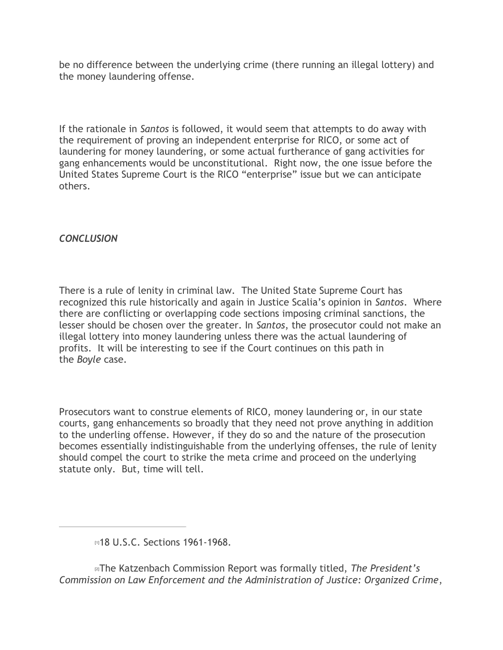be no difference between the underlying crime (there running an illegal lottery) and the money laundering offense.

If the rationale in *Santos* is followed, it would seem that attempts to do away with the requirement of proving an independent enterprise for RICO, or some act of laundering for money laundering, or some actual furtherance of gang activities for gang enhancements would be unconstitutional. Right now, the one issue before the United States Supreme Court is the RICO "enterprise" issue but we can anticipate others.

## *CONCLUSION*

There is a rule of lenity in criminal law. The United State Supreme Court has recognized this rule historically and again in Justice Scalia's opinion in *Santos*. Where there are conflicting or overlapping code sections imposing criminal sanctions, the lesser should be chosen over the greater. In *Santos*, the prosecutor could not make an illegal lottery into money laundering unless there was the actual laundering of profits. It will be interesting to see if the Court continues on this path in the *Boyle* case.

Prosecutors want to construe elements of RICO, money laundering or, in our state courts, gang enhancements so broadly that they need not prove anything in addition to the underling offense. However, if they do so and the nature of the prosecution becomes essentially indistinguishable from the underlying offenses, the rule of lenity should compel the court to strike the meta crime and proceed on the underlying statute only. But, time will tell.

[2]The Katzenbach Commission Report was formally titled, *The President's Commission on Law Enforcement and the Administration of Justice: Organized Crime*,

<span id="page-4-1"></span><span id="page-4-0"></span>m18 U.S.C. Sections 1961-1968.